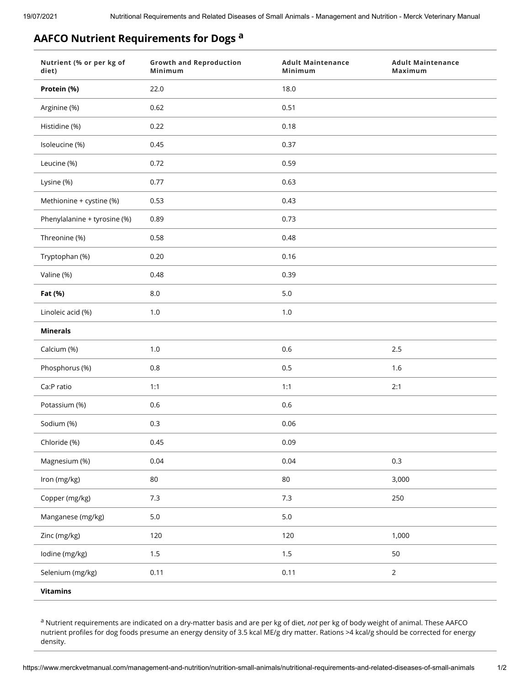## **AAFCO Nutrient Requirements for Dogs <sup>a</sup>**

| Nutrient (% or per kg of<br>diet) | <b>Growth and Reproduction</b><br>Minimum | <b>Adult Maintenance</b><br>Minimum | <b>Adult Maintenance</b><br>Maximum |
|-----------------------------------|-------------------------------------------|-------------------------------------|-------------------------------------|
| Protein (%)                       | 22.0                                      | 18.0                                |                                     |
| Arginine (%)                      | 0.62                                      | 0.51                                |                                     |
| Histidine (%)                     | 0.22                                      | 0.18                                |                                     |
| Isoleucine (%)                    | 0.45                                      | 0.37                                |                                     |
| Leucine (%)                       | 0.72                                      | 0.59                                |                                     |
| Lysine (%)                        | 0.77                                      | 0.63                                |                                     |
| Methionine + cystine (%)          | 0.53                                      | 0.43                                |                                     |
| Phenylalanine + tyrosine (%)      | 0.89                                      | 0.73                                |                                     |
| Threonine (%)                     | 0.58                                      | 0.48                                |                                     |
| Tryptophan (%)                    | 0.20                                      | 0.16                                |                                     |
| Valine (%)                        | 0.48                                      | 0.39                                |                                     |
| Fat (%)                           | $8.0\,$                                   | $5.0\,$                             |                                     |
| Linoleic acid (%)                 | $1.0\,$                                   | 1.0                                 |                                     |
| <b>Minerals</b>                   |                                           |                                     |                                     |
| Calcium (%)                       | $1.0\,$                                   | $0.6\,$                             | $2.5\,$                             |
| Phosphorus (%)                    | 0.8                                       | 0.5                                 | 1.6                                 |
| Ca:P ratio                        | 1:1                                       | 1:1                                 | 2:1                                 |
| Potassium (%)                     | 0.6                                       | $0.6\,$                             |                                     |
| Sodium (%)                        | 0.3                                       | 0.06                                |                                     |
| Chloride (%)                      | 0.45                                      | 0.09                                |                                     |
| Magnesium (%)                     | 0.04                                      | 0.04                                | 0.3                                 |
| Iron (mg/kg)                      | $80\,$                                    | $80\,$                              | 3,000                               |
| Copper (mg/kg)                    | 7.3                                       | 7.3                                 | 250                                 |
| Manganese (mg/kg)                 | $5.0\,$                                   | $5.0\,$                             |                                     |
| Zinc (mg/kg)                      | 120                                       | 120                                 | 1,000                               |
| lodine (mg/kg)                    | 1.5                                       | 1.5                                 | 50                                  |
| Selenium (mg/kg)                  | 0.11                                      | 0.11                                | $\overline{2}$                      |
| <b>Vitamins</b>                   |                                           |                                     |                                     |

a Nutrient requirements are indicated on a dry-matter basis and are per kg of diet, *not* per kg of body weight of animal. These AAFCO nutrient profiles for dog foods presume an energy density of 3.5 kcal ME/g dry matter. Rations >4 kcal/g should be corrected for energy density.